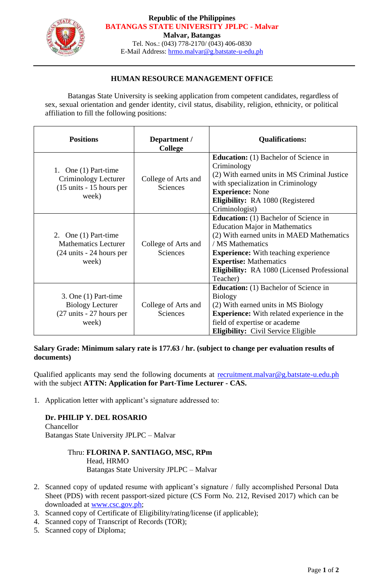

#### **Republic of the Philippines BATANGAS STATE UNIVERSITY JPLPC - Malvar**

**Malvar, Batangas**

Tel. Nos.: (043) 778-2170/ (043) 406-0830 E-Mail Address: [hrmo.malvar@g.batstate-u-edu.ph](mailto:hrmo.malvar@g.batstate-u-edu.ph)

## **HUMAN RESOURCE MANAGEMENT OFFICE**

Batangas State University is seeking application from competent candidates, regardless of sex, sexual orientation and gender identity, civil status, disability, religion, ethnicity, or political affiliation to fill the following positions:

| <b>Positions</b>                                                                                       | Department /<br><b>College</b>  | <b>Qualifications:</b>                                                                                                                                                                                                                                                                                   |
|--------------------------------------------------------------------------------------------------------|---------------------------------|----------------------------------------------------------------------------------------------------------------------------------------------------------------------------------------------------------------------------------------------------------------------------------------------------------|
| 1. One $(1)$ Part-time<br>Criminology Lecturer<br>$(15 \text{ units} - 15 \text{ hours per})$<br>week) | College of Arts and<br>Sciences | <b>Education:</b> (1) Bachelor of Science in<br>Criminology<br>(2) With earned units in MS Criminal Justice<br>with specialization in Criminology<br><b>Experience:</b> None<br>Eligibility: RA 1080 (Registered<br>Criminologist)                                                                       |
| 2. One $(1)$ Part-time<br><b>Mathematics Lecturer</b><br>(24 units - 24 hours per<br>week)             | College of Arts and<br>Sciences | <b>Education:</b> (1) Bachelor of Science in<br><b>Education Major in Mathematics</b><br>(2) With earned units in MAED Mathematics<br>/ MS Mathematics<br><b>Experience:</b> With teaching experience<br><b>Expertise: Mathematics</b><br><b>Eligibility:</b> RA 1080 (Licensed Professional<br>Teacher) |
| 3. One $(1)$ Part-time<br><b>Biology Lecturer</b><br>(27 units - 27 hours per<br>week)                 | College of Arts and<br>Sciences | <b>Education:</b> (1) Bachelor of Science in<br><b>Biology</b><br>(2) With earned units in MS Biology<br><b>Experience:</b> With related experience in the<br>field of expertise or academe<br>Eligibility: Civil Service Eligible                                                                       |

## **Salary Grade: Minimum salary rate is 177.63 / hr. (subject to change per evaluation results of documents)**

Qualified applicants may send the following documents at [recruitment.malvar@g.batstate-u.edu.ph](mailto:recruitment.malvar@g.batstate-u.edu.ph) with the subject **ATTN: Application for Part-Time Lecturer - CAS.** 

1. Application letter with applicant's signature addressed to:

# **Dr. PHILIP Y. DEL ROSARIO**

Chancellor Batangas State University JPLPC – Malvar

### Thru: **FLORINA P. SANTIAGO, MSC, RPm** Head, HRMO Batangas State University JPLPC – Malvar

- 2. Scanned copy of updated resume with applicant's signature / fully accomplished Personal Data Sheet (PDS) with recent passport-sized picture (CS Form No. 212, Revised 2017) which can be downloaded at [www.csc.gov.ph;](http://www.csc.gov.ph/)
- 3. Scanned copy of Certificate of Eligibility/rating/license (if applicable);
- 4. Scanned copy of Transcript of Records (TOR);
- 5. Scanned copy of Diploma;